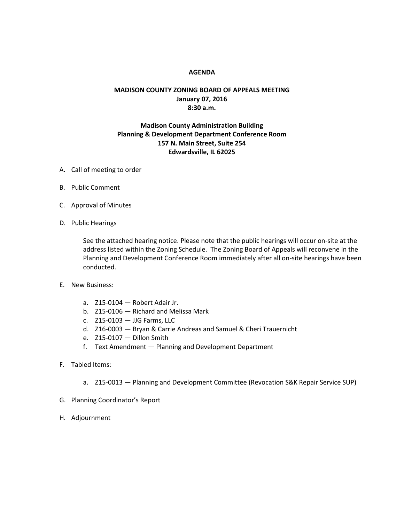## **AGENDA**

## **MADISON COUNTY ZONING BOARD OF APPEALS MEETING January 07, 2016 8:30 a.m.**

## **Madison County Administration Building Planning & Development Department Conference Room 157 N. Main Street, Suite 254 Edwardsville, IL 62025**

- A. Call of meeting to order
- B. Public Comment
- C. Approval of Minutes
- D. Public Hearings

See the attached hearing notice. Please note that the public hearings will occur on-site at the address listed within the Zoning Schedule. The Zoning Board of Appeals will reconvene in the Planning and Development Conference Room immediately after all on-site hearings have been conducted.

- E. New Business:
	- a. Z15-0104 Robert Adair Jr.
	- b. Z15-0106 Richard and Melissa Mark
	- c. Z15-0103 JJG Farms, LLC
	- d. Z16-0003 Bryan & Carrie Andreas and Samuel & Cheri Trauernicht
	- e. Z15-0107 Dillon Smith
	- f. Text Amendment Planning and Development Department
- F. Tabled Items:
	- a. Z15-0013 Planning and Development Committee (Revocation S&K Repair Service SUP)
- G. Planning Coordinator's Report
- H. Adjournment